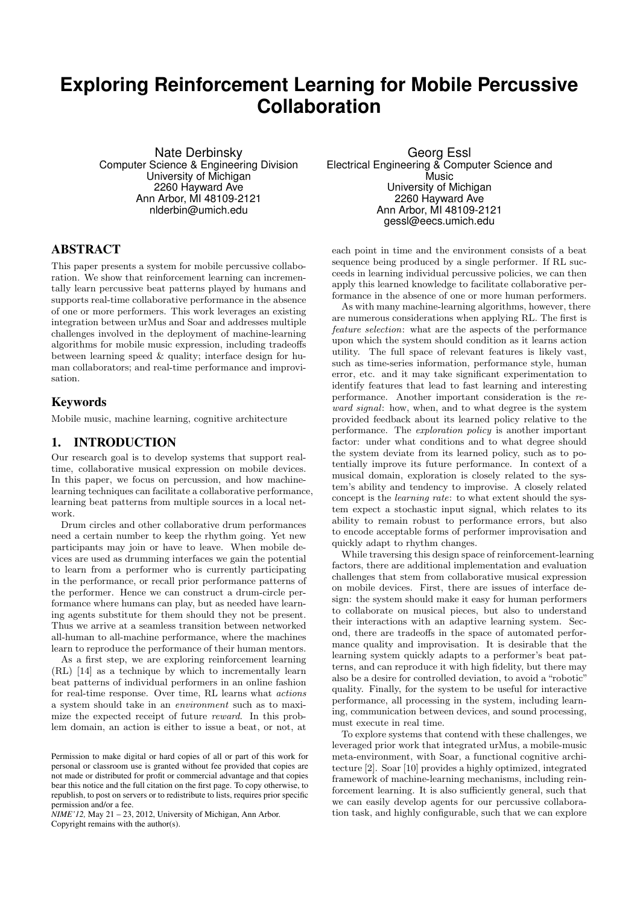# **Exploring Reinforcement Learning for Mobile Percussive Collaboration**

Nate Derbinsky Computer Science & Engineering Division University of Michigan 2260 Hayward Ave Ann Arbor, MI 48109-2121 nlderbin@umich.edu

## ABSTRACT

This paper presents a system for mobile percussive collaboration. We show that reinforcement learning can incrementally learn percussive beat patterns played by humans and supports real-time collaborative performance in the absence of one or more performers. This work leverages an existing integration between urMus and Soar and addresses multiple challenges involved in the deployment of machine-learning algorithms for mobile music expression, including tradeoffs between learning speed & quality; interface design for human collaborators; and real-time performance and improvisation.

## Keywords

Mobile music, machine learning, cognitive architecture

## 1. INTRODUCTION

Our research goal is to develop systems that support realtime, collaborative musical expression on mobile devices. In this paper, we focus on percussion, and how machinelearning techniques can facilitate a collaborative performance, learning beat patterns from multiple sources in a local network.

Drum circles and other collaborative drum performances need a certain number to keep the rhythm going. Yet new participants may join or have to leave. When mobile devices are used as drumming interfaces we gain the potential to learn from a performer who is currently participating in the performance, or recall prior performance patterns of the performer. Hence we can construct a drum-circle performance where humans can play, but as needed have learning agents substitute for them should they not be present. Thus we arrive at a seamless transition between networked all-human to all-machine performance, where the machines learn to reproduce the performance of their human mentors.

As a first step, we are exploring reinforcement learning (RL) [14] as a technique by which to incrementally learn beat patterns of individual performers in an online fashion for real-time response. Over time, RL learns what actions a system should take in an environment such as to maximize the expected receipt of future reward. In this problem domain, an action is either to issue a beat, or not, at

*NIME'12,* May 21 – 23, 2012, University of Michigan, Ann Arbor. Copyright remains with the author(s).

Georg Essl Electrical Engineering & Computer Science and Music University of Michigan 2260 Hayward Ave Ann Arbor, MI 48109-2121 gessl@eecs.umich.edu

each point in time and the environment consists of a beat sequence being produced by a single performer. If RL succeeds in learning individual percussive policies, we can then apply this learned knowledge to facilitate collaborative performance in the absence of one or more human performers.

As with many machine-learning algorithms, however, there are numerous considerations when applying RL. The first is feature selection: what are the aspects of the performance upon which the system should condition as it learns action utility. The full space of relevant features is likely vast, such as time-series information, performance style, human error, etc. and it may take significant experimentation to identify features that lead to fast learning and interesting performance. Another important consideration is the reward signal: how, when, and to what degree is the system provided feedback about its learned policy relative to the performance. The exploration policy is another important factor: under what conditions and to what degree should the system deviate from its learned policy, such as to potentially improve its future performance. In context of a musical domain, exploration is closely related to the system's ability and tendency to improvise. A closely related concept is the learning rate: to what extent should the system expect a stochastic input signal, which relates to its ability to remain robust to performance errors, but also to encode acceptable forms of performer improvisation and quickly adapt to rhythm changes.

While traversing this design space of reinforcement-learning factors, there are additional implementation and evaluation challenges that stem from collaborative musical expression on mobile devices. First, there are issues of interface design: the system should make it easy for human performers to collaborate on musical pieces, but also to understand their interactions with an adaptive learning system. Second, there are tradeoffs in the space of automated performance quality and improvisation. It is desirable that the learning system quickly adapts to a performer's beat patterns, and can reproduce it with high fidelity, but there may also be a desire for controlled deviation, to avoid a "robotic" quality. Finally, for the system to be useful for interactive performance, all processing in the system, including learning, communication between devices, and sound processing, must execute in real time.

To explore systems that contend with these challenges, we leveraged prior work that integrated urMus, a mobile-music meta-environment, with Soar, a functional cognitive architecture [2]. Soar [10] provides a highly optimized, integrated framework of machine-learning mechanisms, including reinforcement learning. It is also sufficiently general, such that we can easily develop agents for our percussive collaboration task, and highly configurable, such that we can explore

Permission to make digital or hard copies of all or part of this work for personal or classroom use is granted without fee provided that copies are not made or distributed for profit or commercial advantage and that copies bear this notice and the full citation on the first page. To copy otherwise, to republish, to post on servers or to redistribute to lists, requires prior specific permission and/or a fee.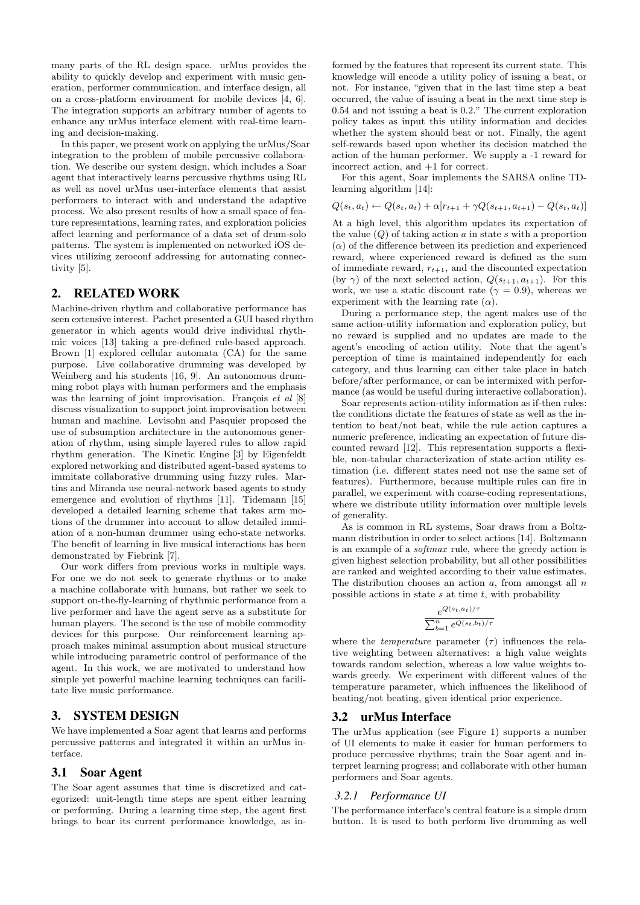many parts of the RL design space. urMus provides the ability to quickly develop and experiment with music generation, performer communication, and interface design, all on a cross-platform environment for mobile devices [4, 6]. The integration supports an arbitrary number of agents to enhance any urMus interface element with real-time learning and decision-making.

In this paper, we present work on applying the urMus/Soar integration to the problem of mobile percussive collaboration. We describe our system design, which includes a Soar agent that interactively learns percussive rhythms using RL as well as novel urMus user-interface elements that assist performers to interact with and understand the adaptive process. We also present results of how a small space of feature representations, learning rates, and exploration policies affect learning and performance of a data set of drum-solo patterns. The system is implemented on networked iOS devices utilizing zeroconf addressing for automating connectivity [5].

#### 2. RELATED WORK

Machine-driven rhythm and collaborative performance has seen extensive interest. Pachet presented a GUI based rhythm generator in which agents would drive individual rhythmic voices [13] taking a pre-defined rule-based approach. Brown [1] explored cellular automata (CA) for the same purpose. Live collaborative drumming was developed by Weinberg and his students [16, 9]. An autonomous drumming robot plays with human performers and the emphasis was the learning of joint improvisation. François *et al*  $[8]$ discuss visualization to support joint improvisation between human and machine. Levisohn and Pasquier proposed the use of subsumption architecture in the autonomous generation of rhythm, using simple layered rules to allow rapid rhythm generation. The Kinetic Engine [3] by Eigenfeldt explored networking and distributed agent-based systems to immitate collaborative drumming using fuzzy rules. Martins and Miranda use neural-network based agents to study emergence and evolution of rhythms [11]. Tidemann [15] developed a detailed learning scheme that takes arm motions of the drummer into account to allow detailed immiation of a non-human drummer using echo-state networks. The benefit of learning in live musical interactions has been demonstrated by Fiebrink [7].

Our work differs from previous works in multiple ways. For one we do not seek to generate rhythms or to make a machine collaborate with humans, but rather we seek to support on-the-fly-learning of rhythmic performance from a live performer and have the agent serve as a substitute for human players. The second is the use of mobile commodity devices for this purpose. Our reinforcement learning approach makes minimal assumption about musical structure while introducing parametric control of performance of the agent. In this work, we are motivated to understand how simple yet powerful machine learning techniques can facilitate live music performance.

## 3. SYSTEM DESIGN

We have implemented a Soar agent that learns and performs percussive patterns and integrated it within an urMus interface.

### 3.1 Soar Agent

The Soar agent assumes that time is discretized and categorized: unit-length time steps are spent either learning or performing. During a learning time step, the agent first brings to bear its current performance knowledge, as informed by the features that represent its current state. This knowledge will encode a utility policy of issuing a beat, or not. For instance, "given that in the last time step a beat occurred, the value of issuing a beat in the next time step is 0.54 and not issuing a beat is 0.2." The current exploration policy takes as input this utility information and decides whether the system should beat or not. Finally, the agent self-rewards based upon whether its decision matched the action of the human performer. We supply a -1 reward for incorrect action, and +1 for correct.

For this agent, Soar implements the SARSA online TDlearning algorithm [14]:

$$
Q(s_t, a_t) \leftarrow Q(s_t, a_t) + \alpha[r_{t+1} + \gamma Q(s_{t+1}, a_{t+1}) - Q(s_t, a_t)]
$$

At a high level, this algorithm updates its expectation of the value  $(Q)$  of taking action a in state s with a proportion  $(\alpha)$  of the difference between its prediction and experienced reward, where experienced reward is defined as the sum of immediate reward,  $r_{t+1}$ , and the discounted expectation (by  $\gamma$ ) of the next selected action,  $Q(s_{t+1}, a_{t+1})$ . For this work, we use a static discount rate ( $\gamma = 0.9$ ), whereas we experiment with the learning rate  $(\alpha)$ .

During a performance step, the agent makes use of the same action-utility information and exploration policy, but no reward is supplied and no updates are made to the agent's encoding of action utility. Note that the agent's perception of time is maintained independently for each category, and thus learning can either take place in batch before/after performance, or can be intermixed with performance (as would be useful during interactive collaboration).

Soar represents action-utility information as if-then rules: the conditions dictate the features of state as well as the intention to beat/not beat, while the rule action captures a numeric preference, indicating an expectation of future discounted reward [12]. This representation supports a flexible, non-tabular characterization of state-action utility estimation (i.e. different states need not use the same set of features). Furthermore, because multiple rules can fire in parallel, we experiment with coarse-coding representations, where we distribute utility information over multiple levels of generality.

As is common in RL systems, Soar draws from a Boltzmann distribution in order to select actions [14]. Boltzmann is an example of a softmax rule, where the greedy action is given highest selection probability, but all other possibilities are ranked and weighted according to their value estimates. The distribution chooses an action  $a$ , from amongst all  $n$ possible actions in state  $s$  at time  $t$ , with probability

$$
\frac{e^{Q(s_t,a_t)/\tau}}{\sum_{b=1}^n e^{Q(s_t,b_t)/\tau}}
$$

where the *temperature* parameter  $(\tau)$  influences the relative weighting between alternatives: a high value weights towards random selection, whereas a low value weights towards greedy. We experiment with different values of the temperature parameter, which influences the likelihood of beating/not beating, given identical prior experience.

#### 3.2 urMus Interface

The urMus application (see Figure 1) supports a number of UI elements to make it easier for human performers to produce percussive rhythms; train the Soar agent and interpret learning progress; and collaborate with other human performers and Soar agents.

#### *3.2.1 Performance UI*

The performance interface's central feature is a simple drum button. It is used to both perform live drumming as well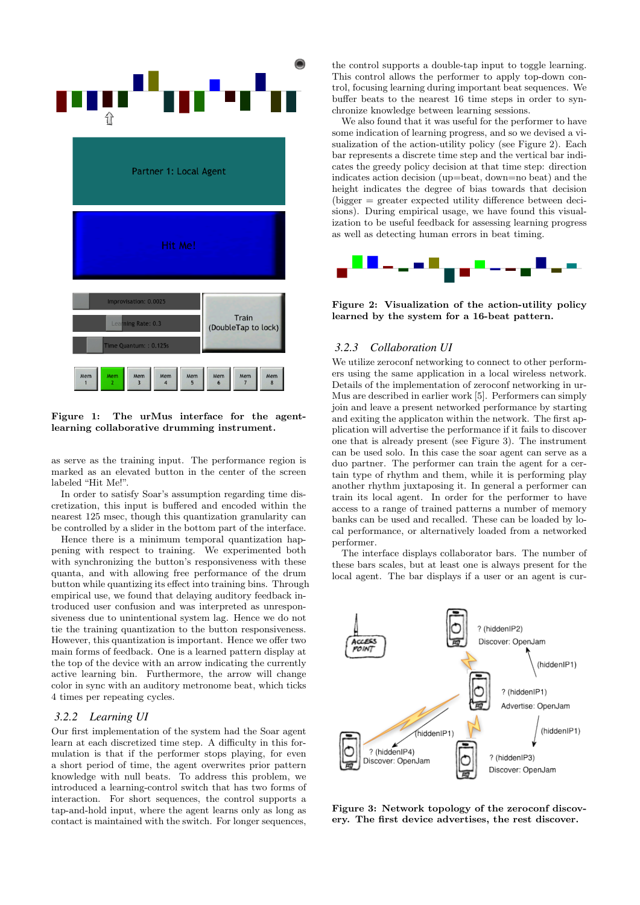

Figure 1: The urMus interface for the agentlearning collaborative drumming instrument.

as serve as the training input. The performance region is marked as an elevated button in the center of the screen labeled "Hit Me!".

In order to satisfy Soar's assumption regarding time discretization, this input is buffered and encoded within the nearest 125 msec, though this quantization granularity can be controlled by a slider in the bottom part of the interface.

Hence there is a minimum temporal quantization happening with respect to training. We experimented both with synchronizing the button's responsiveness with these quanta, and with allowing free performance of the drum button while quantizing its effect into training bins. Through empirical use, we found that delaying auditory feedback introduced user confusion and was interpreted as unresponsiveness due to unintentional system lag. Hence we do not tie the training quantization to the button responsiveness. However, this quantization is important. Hence we offer two main forms of feedback. One is a learned pattern display at the top of the device with an arrow indicating the currently active learning bin. Furthermore, the arrow will change color in sync with an auditory metronome beat, which ticks 4 times per repeating cycles.

#### *3.2.2 Learning UI*

Our first implementation of the system had the Soar agent learn at each discretized time step. A difficulty in this formulation is that if the performer stops playing, for even a short period of time, the agent overwrites prior pattern knowledge with null beats. To address this problem, we introduced a learning-control switch that has two forms of interaction. For short sequences, the control supports a tap-and-hold input, where the agent learns only as long as contact is maintained with the switch. For longer sequences, the control supports a double-tap input to toggle learning. This control allows the performer to apply top-down control, focusing learning during important beat sequences. We buffer beats to the nearest 16 time steps in order to synchronize knowledge between learning sessions.

We also found that it was useful for the performer to have some indication of learning progress, and so we devised a visualization of the action-utility policy (see Figure 2). Each bar represents a discrete time step and the vertical bar indicates the greedy policy decision at that time step: direction indicates action decision (up=beat, down=no beat) and the height indicates the degree of bias towards that decision (bigger = greater expected utility difference between decisions). During empirical usage, we have found this visualization to be useful feedback for assessing learning progress as well as detecting human errors in beat timing.



Figure 2: Visualization of the action-utility policy learned by the system for a 16-beat pattern.

## *3.2.3 Collaboration UI*

We utilize zeroconf networking to connect to other performers using the same application in a local wireless network. Details of the implementation of zeroconf networking in ur-Mus are described in earlier work [5]. Performers can simply join and leave a present networked performance by starting and exiting the applicaton within the network. The first application will advertise the performance if it fails to discover one that is already present (see Figure 3). The instrument can be used solo. In this case the soar agent can serve as a duo partner. The performer can train the agent for a certain type of rhythm and them, while it is performing play another rhythm juxtaposing it. In general a performer can train its local agent. In order for the performer to have access to a range of trained patterns a number of memory banks can be used and recalled. These can be loaded by local performance, or alternatively loaded from a networked performer.

The interface displays collaborator bars. The number of these bars scales, but at least one is always present for the local agent. The bar displays if a user or an agent is cur-



Figure 3: Network topology of the zeroconf discovery. The first device advertises, the rest discover.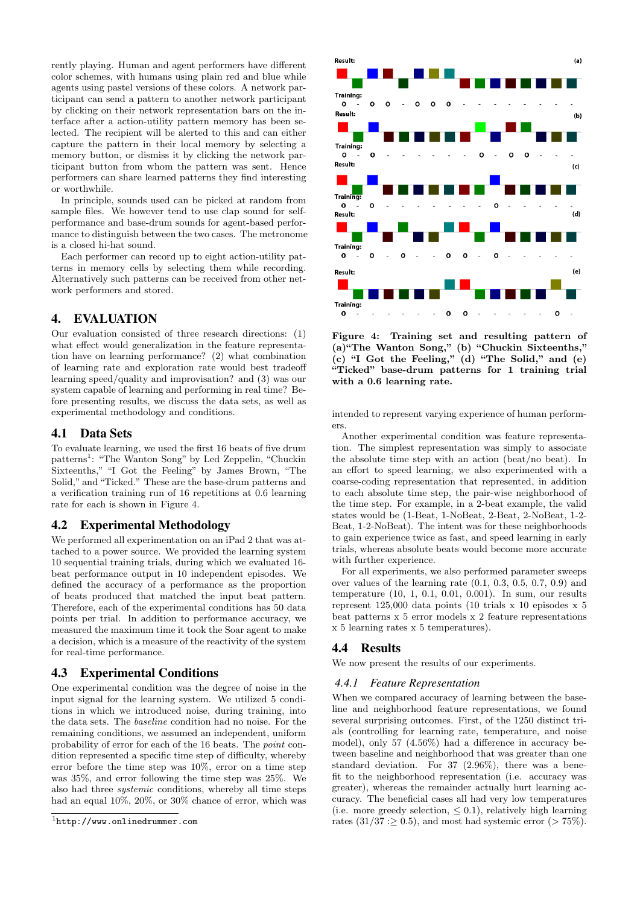rently playing. Human and agent performers have different color schemes, with humans using plain red and blue while agents using pastel versions of these colors. A network participant can send a pattern to another network participant by clicking on their network representation bars on the interface after a action-utility pattern memory has been selected. The recipient will be alerted to this and can either capture the pattern in their local memory by selecting a memory button, or dismiss it by clicking the network participant button from whom the pattern was sent. Hence performers can share learned patterns they find interesting or worthwhile.

In principle, sounds used can be picked at random from sample files. We however tend to use clap sound for selfperformance and base-drum sounds for agent-based performance to distinguish between the two cases. The metronome is a closed hi-hat sound.

Each performer can record up to eight action-utility patterns in memory cells by selecting them while recording. Alternatively such patterns can be received from other network performers and stored.

## 4. EVALUATION

Our evaluation consisted of three research directions: (1) what effect would generalization in the feature representation have on learning performance? (2) what combination of learning rate and exploration rate would best tradeoff learning speed/quality and improvisation? and (3) was our system capable of learning and performing in real time? Before presenting results, we discuss the data sets, as well as experimental methodology and conditions.

#### 4.1 Data Sets

To evaluate learning, we used the first 16 beats of five drum patterns<sup>1</sup>: "The Wanton Song" by Led Zeppelin, "Chuckin Sixteenths," "I Got the Feeling" by James Brown, "The Solid," and "Ticked." These are the base-drum patterns and a verification training run of 16 repetitions at 0.6 learning rate for each is shown in Figure 4.

### 4.2 Experimental Methodology

We performed all experimentation on an iPad 2 that was attached to a power source. We provided the learning system 10 sequential training trials, during which we evaluated 16 beat performance output in 10 independent episodes. We defined the accuracy of a performance as the proportion of beats produced that matched the input beat pattern. Therefore, each of the experimental conditions has 50 data points per trial. In addition to performance accuracy, we measured the maximum time it took the Soar agent to make a decision, which is a measure of the reactivity of the system for real-time performance.

#### 4.3 Experimental Conditions

One experimental condition was the degree of noise in the input signal for the learning system. We utilized 5 conditions in which we introduced noise, during training, into the data sets. The baseline condition had no noise. For the remaining conditions, we assumed an independent, uniform probability of error for each of the 16 beats. The point condition represented a specific time step of difficulty, whereby error before the time step was 10%, error on a time step was 35%, and error following the time step was 25%. We also had three systemic conditions, whereby all time steps had an equal 10%, 20%, or 30% chance of error, which was



Figure 4: Training set and resulting pattern of (a)"The Wanton Song," (b) "Chuckin Sixteenths,"  $(c)$  "I Got the Feeling,"  $(d)$  "The Solid," and  $(e)$ "Ticked" base-drum patterns for 1 training trial with a 0.6 learning rate.

intended to represent varying experience of human performers.

Another experimental condition was feature representation. The simplest representation was simply to associate the absolute time step with an action (beat/no beat). In an effort to speed learning, we also experimented with a coarse-coding representation that represented, in addition to each absolute time step, the pair-wise neighborhood of the time step. For example, in a 2-beat example, the valid states would be (1-Beat, 1-NoBeat, 2-Beat, 2-NoBeat, 1-2- Beat, 1-2-NoBeat). The intent was for these neighborhoods to gain experience twice as fast, and speed learning in early trials, whereas absolute beats would become more accurate with further experience.

For all experiments, we also performed parameter sweeps over values of the learning rate (0.1, 0.3, 0.5, 0.7, 0.9) and temperature (10, 1, 0.1, 0.01, 0.001). In sum, our results represent 125,000 data points (10 trials x 10 episodes x 5 beat patterns x 5 error models x 2 feature representations x 5 learning rates x 5 temperatures).

## 4.4 Results

We now present the results of our experiments.

#### *4.4.1 Feature Representation*

When we compared accuracy of learning between the baseline and neighborhood feature representations, we found several surprising outcomes. First, of the 1250 distinct trials (controlling for learning rate, temperature, and noise model), only 57 (4.56%) had a difference in accuracy between baseline and neighborhood that was greater than one standard deviation. For 37 (2.96%), there was a benefit to the neighborhood representation (i.e. accuracy was greater), whereas the remainder actually hurt learning accuracy. The beneficial cases all had very low temperatures (i.e. more greedy selection,  $\leq$  0.1), relatively high learning rates  $(31/37:$  > 0.5), and most had systemic error  $(> 75\%)$ .

<sup>1</sup> http://www.onlinedrummer.com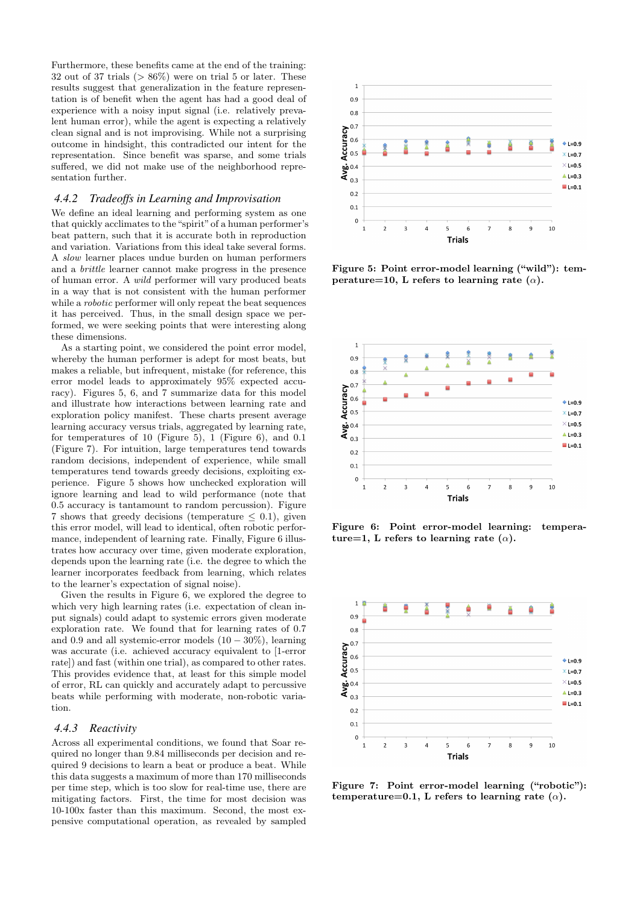Furthermore, these benefits came at the end of the training: 32 out of 37 trials  $($  > 86%) were on trial 5 or later. These results suggest that generalization in the feature representation is of benefit when the agent has had a good deal of experience with a noisy input signal (i.e. relatively prevalent human error), while the agent is expecting a relatively clean signal and is not improvising. While not a surprising outcome in hindsight, this contradicted our intent for the representation. Since benefit was sparse, and some trials suffered, we did not make use of the neighborhood representation further.

#### *4.4.2 Tradeoffs in Learning and Improvisation*

We define an ideal learning and performing system as one that quickly acclimates to the "spirit" of a human performer's beat pattern, such that it is accurate both in reproduction and variation. Variations from this ideal take several forms. A slow learner places undue burden on human performers and a brittle learner cannot make progress in the presence of human error. A wild performer will vary produced beats in a way that is not consistent with the human performer while a robotic performer will only repeat the beat sequences it has perceived. Thus, in the small design space we performed, we were seeking points that were interesting along these dimensions.

As a starting point, we considered the point error model, whereby the human performer is adept for most beats, but makes a reliable, but infrequent, mistake (for reference, this error model leads to approximately 95% expected accuracy). Figures 5, 6, and 7 summarize data for this model and illustrate how interactions between learning rate and exploration policy manifest. These charts present average learning accuracy versus trials, aggregated by learning rate, for temperatures of 10 (Figure 5), 1 (Figure 6), and 0.1 (Figure 7). For intuition, large temperatures tend towards random decisions, independent of experience, while small temperatures tend towards greedy decisions, exploiting experience. Figure 5 shows how unchecked exploration will ignore learning and lead to wild performance (note that 0.5 accuracy is tantamount to random percussion). Figure 7 shows that greedy decisions (temperature  $\leq$  0.1), given this error model, will lead to identical, often robotic performance, independent of learning rate. Finally, Figure 6 illustrates how accuracy over time, given moderate exploration, depends upon the learning rate (i.e. the degree to which the learner incorporates feedback from learning, which relates to the learner's expectation of signal noise).

Given the results in Figure 6, we explored the degree to which very high learning rates (i.e. expectation of clean input signals) could adapt to systemic errors given moderate exploration rate. We found that for learning rates of 0.7 and 0.9 and all systemic-error models  $(10 - 30\%)$ , learning was accurate (i.e. achieved accuracy equivalent to [1-error rate]) and fast (within one trial), as compared to other rates. This provides evidence that, at least for this simple model of error, RL can quickly and accurately adapt to percussive beats while performing with moderate, non-robotic variation.

#### *4.4.3 Reactivity*

Across all experimental conditions, we found that Soar required no longer than 9.84 milliseconds per decision and required 9 decisions to learn a beat or produce a beat. While this data suggests a maximum of more than 170 milliseconds per time step, which is too slow for real-time use, there are mitigating factors. First, the time for most decision was 10-100x faster than this maximum. Second, the most expensive computational operation, as revealed by sampled



Figure 5: Point error-model learning ("wild"): temperature=10, L refers to learning rate  $(\alpha)$ .



Figure 6: Point error-model learning: temperature=1, L refers to learning rate ( $\alpha$ ).



Figure 7: Point error-model learning ("robotic"): temperature=0.1, L refers to learning rate  $(\alpha)$ .